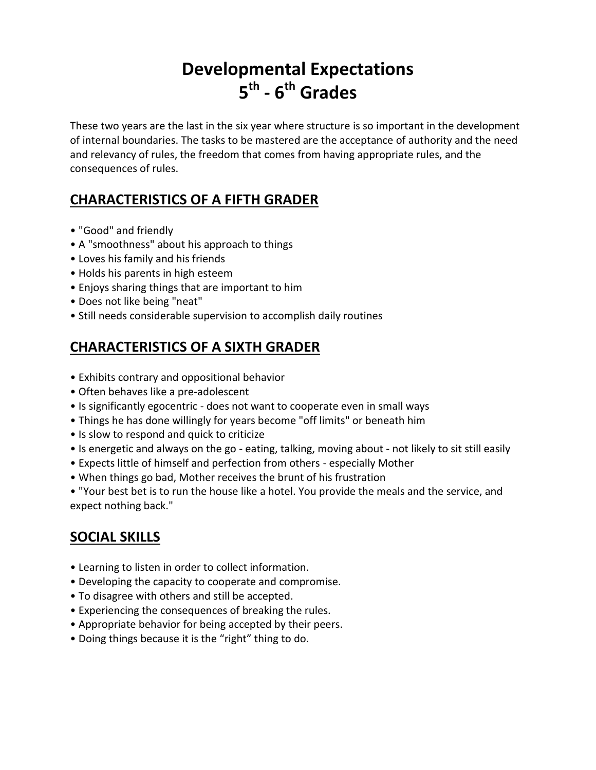# **Developmental Expectations 5 th - 6 th Grades**

These two years are the last in the six year where structure is so important in the development of internal boundaries. The tasks to be mastered are the acceptance of authority and the need and relevancy of rules, the freedom that comes from having appropriate rules, and the consequences of rules.

## **CHARACTERISTICS OF A FIFTH GRADER**

- "Good" and friendly
- A "smoothness" about his approach to things
- Loves his family and his friends
- Holds his parents in high esteem
- Enjoys sharing things that are important to him
- Does not like being "neat"
- Still needs considerable supervision to accomplish daily routines

## **CHARACTERISTICS OF A SIXTH GRADER**

- Exhibits contrary and oppositional behavior
- Often behaves like a pre-adolescent
- Is significantly egocentric does not want to cooperate even in small ways
- Things he has done willingly for years become "off limits" or beneath him
- Is slow to respond and quick to criticize
- Is energetic and always on the go eating, talking, moving about not likely to sit still easily
- Expects little of himself and perfection from others especially Mother
- When things go bad, Mother receives the brunt of his frustration

• "Your best bet is to run the house like a hotel. You provide the meals and the service, and expect nothing back."

## **SOCIAL SKILLS**

- Learning to listen in order to collect information.
- Developing the capacity to cooperate and compromise.
- To disagree with others and still be accepted.
- Experiencing the consequences of breaking the rules.
- Appropriate behavior for being accepted by their peers.
- Doing things because it is the "right" thing to do.